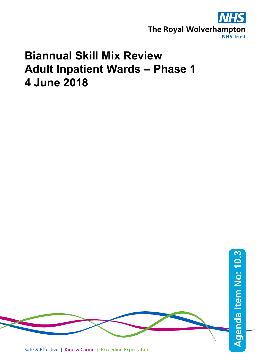

# **Biannual Skill Mix Review Adult Inpatient Wards – Phase 1 4 June 2018**



Safe & Effective | Kind & Caring | Exceeding Expectation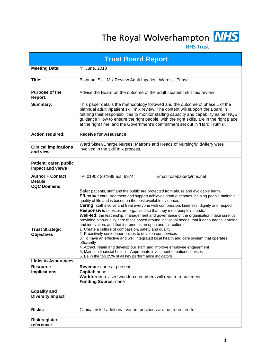The Royal Wolverhampton **NHS** 



**NHS Trust** 

| <b>Trust Board Report</b>                      |                                                                                                                                                                                                                                                                                                                                                                                                                                                                                                                                                                                                                                                                              |  |  |  |  |  |  |
|------------------------------------------------|------------------------------------------------------------------------------------------------------------------------------------------------------------------------------------------------------------------------------------------------------------------------------------------------------------------------------------------------------------------------------------------------------------------------------------------------------------------------------------------------------------------------------------------------------------------------------------------------------------------------------------------------------------------------------|--|--|--|--|--|--|
| <b>Meeting Date:</b>                           | $4th$ June, 2018                                                                                                                                                                                                                                                                                                                                                                                                                                                                                                                                                                                                                                                             |  |  |  |  |  |  |
| Title:                                         | Biannual Skill Mix Review Adult Inpatient Wards - Phase 1                                                                                                                                                                                                                                                                                                                                                                                                                                                                                                                                                                                                                    |  |  |  |  |  |  |
| <b>Purpose of the</b><br>Report:               | Advise the Board on the outcome of the adult inpatient skill mix review                                                                                                                                                                                                                                                                                                                                                                                                                                                                                                                                                                                                      |  |  |  |  |  |  |
| Summary:                                       | This paper details the methodology followed and the outcome of phase 1 of the<br>biannual adult inpatient skill mix review. The content will support the Board in<br>fulfilling their responsibilities to monitor staffing capacity and capability as per NQB<br>guidance 'How to ensure the right people, with the right skills, are in the right place<br>at the right time' and the Government's commitment set out in 'Hard Truth's'.                                                                                                                                                                                                                                    |  |  |  |  |  |  |
| <b>Action required:</b>                        | <b>Receive for Assurance</b>                                                                                                                                                                                                                                                                                                                                                                                                                                                                                                                                                                                                                                                 |  |  |  |  |  |  |
| <b>Clinical implications</b><br>and view       | Ward Sister/Charge Nurses; Matrons and Heads of Nursing/Midwifery were<br>involved in the skill mix process.                                                                                                                                                                                                                                                                                                                                                                                                                                                                                                                                                                 |  |  |  |  |  |  |
| Patient, carer, public<br>impact and views     |                                                                                                                                                                                                                                                                                                                                                                                                                                                                                                                                                                                                                                                                              |  |  |  |  |  |  |
| <b>Author + Contact</b><br>Details:            | Email rosebaker@nhs.net<br>Tel 01902 307999 ext. 6974                                                                                                                                                                                                                                                                                                                                                                                                                                                                                                                                                                                                                        |  |  |  |  |  |  |
| <b>CQC Domains</b>                             | Safe: patients, staff and the public are protected from abuse and avoidable harm.<br>Effective: care, treatment and support achieves good outcomes, helping people maintain<br>quality of life and is based on the best available evidence.<br>Caring: staff involve and treat everyone with compassion, kindness, dignity and respect.<br>Responsive: services are organised so that they meet people's needs.<br>Well-led: the leadership, management and governance of the organisation make sure it's<br>providing high-quality care that's based around individual needs, that it encourages learning<br>and innovation, and that it promotes an open and fair culture. |  |  |  |  |  |  |
| <b>Trust Strategic</b><br><b>Objectives</b>    | 1. Create a culture of compassion, safety and quality<br>2. Proactively seek opportunities to develop our services<br>3. To have an effective and well integrated local health and care system that operates<br>efficiently<br>4. Attract, retain and develop our staff, and improve employee engagement<br>5. Maintain financial health - Appropriate investment to patient services<br>6. Be in the top 25% of all key performance indicators                                                                                                                                                                                                                              |  |  |  |  |  |  |
| <b>Links to Assurances</b>                     |                                                                                                                                                                                                                                                                                                                                                                                                                                                                                                                                                                                                                                                                              |  |  |  |  |  |  |
| <b>Resource</b><br><b>Implications:</b>        | Revenue: none at present<br>Capital: none<br>Workforce: revised workforce numbers will require recruitment<br><b>Funding Source: none</b>                                                                                                                                                                                                                                                                                                                                                                                                                                                                                                                                    |  |  |  |  |  |  |
| <b>Equality and</b><br><b>Diversity Impact</b> |                                                                                                                                                                                                                                                                                                                                                                                                                                                                                                                                                                                                                                                                              |  |  |  |  |  |  |
| <b>Risks:</b>                                  | Clinical risk if additional vacant positions are not recruited to                                                                                                                                                                                                                                                                                                                                                                                                                                                                                                                                                                                                            |  |  |  |  |  |  |
| <b>Risk register</b><br>reference:             |                                                                                                                                                                                                                                                                                                                                                                                                                                                                                                                                                                                                                                                                              |  |  |  |  |  |  |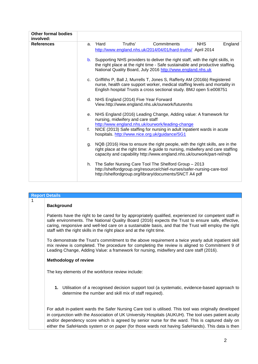| <b>Other formal bodies</b><br>involved: |    |             |                                         |                                                                                                                                                                                                                                          |            |         |
|-----------------------------------------|----|-------------|-----------------------------------------|------------------------------------------------------------------------------------------------------------------------------------------------------------------------------------------------------------------------------------------|------------|---------|
| <b>References</b>                       | a. | <b>Hard</b> | Truths'                                 | Commitments<br>http://www.england.nhs.uk/2014/04/01/hard-truths/ April 2014                                                                                                                                                              | <b>NHS</b> | England |
|                                         | b. |             |                                         | Supporting NHS providers to deliver the right staff, with the right skills, in<br>the right place at the right time - Safe sustainable and productive staffing.<br>National Quality Board, July 2016 http://www.england.nhs.uk           |            |         |
|                                         |    |             |                                         | c. Griffiths P, Ball J, Murrells T, Jones S, Rafferty AM (2016b) Registered<br>nurse, health care support worker, medical staffing levels and mortality in<br>English hospital Trusts a cross sectional study. BMJ open 5:e008751        |            |         |
|                                         |    |             | d. NHS England (2014) Five Year Forward | View.http://www.england.nhs.uk/ourwork/futurenhs                                                                                                                                                                                         |            |         |
|                                         |    |             | nursing, midwifery and care staff       | e. NHS England (2016) Leading Change, Adding value: A framework for<br>http://www.england.nhs.uk/ourwork/leading-change                                                                                                                  |            |         |
|                                         | f. |             |                                         | NICE (2013) Safe staffing for nursing in adult inpatient wards in acute<br>hospitals. http://www.nice.org.uk/guidance/SG1                                                                                                                |            |         |
|                                         | q. |             |                                         | NQB (2016) How to ensure the right people, with the right skills, are in the<br>right place at the right time: A guide to nursing, midwifery and care staffing<br>capacity and capability http://www.england.nhs.uk/ourwork/part-rel/nqb |            |         |
|                                         |    |             |                                         | h. The Safer Nursing Care Tool The Shelford Group - 2013<br>http://shelfordgroup.org/resource/chief-nurses/safer-nursing-care-tool<br>http://shelfordgroup.org/library/documents/SNCT A4 pdf                                             |            |         |

|   | <b>Report Details</b>                                                                                                                                                                                                                                                                                                                                                                                                  |
|---|------------------------------------------------------------------------------------------------------------------------------------------------------------------------------------------------------------------------------------------------------------------------------------------------------------------------------------------------------------------------------------------------------------------------|
| 1 | <b>Background</b>                                                                                                                                                                                                                                                                                                                                                                                                      |
|   | Patients have the right to be cared for by appropriately qualified, experienced /or competent staff in<br>safe environments. The National Quality Board (2016) expects the Trust to ensure safe, effective,<br>caring, responsive and well-led care on a sustainable basis, and that the Trust will employ the right<br>staff with the right skills in the right place and at the right time.                          |
|   | To demonstrate the Trust's commitment to the above requirement a twice yearly adult inpatient skill<br>mix review is completed. The procedure for completing the review is aligned to Commitment 9 of<br>Leading Change, Adding Value: a framework for nursing, midwifery and care staff (2016).                                                                                                                       |
|   | <b>Methodology of review</b>                                                                                                                                                                                                                                                                                                                                                                                           |
|   | The key elements of the workforce review include:                                                                                                                                                                                                                                                                                                                                                                      |
|   | 1. Utilisation of a recognised decision support tool (a systematic, evidence-based approach to<br>determine the number and skill mix of staff required).                                                                                                                                                                                                                                                               |
|   | For adult in-patient wards the Safer Nursing Care tool is utilised. This tool was originally developed<br>in conjunction with the Association of UK University Hospitals (AUKUH). The tool uses patient acuity<br>and/or dependency score which is agreed by senior nurse for the ward. This is captured daily on<br>either the SafeHands system or on paper (for those wards not having SafeHands). This data is then |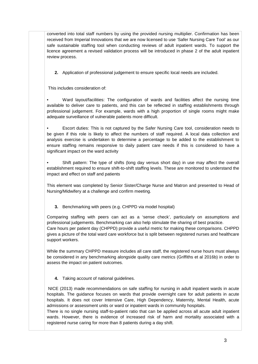converted into total staff numbers by using the provided nursing multiplier. Confirmation has been received from Imperial Innovations that we are now licensed to use 'Safer Nursing Care Tool' as our safe sustainable staffing tool when conducting reviews of adult inpatient wards. To support the licence agreement a revised validation process will be introduced in phase 2 of the adult inpatient review process.

**2.** Application of professional judgement to ensure specific local needs are included.

This includes consideration of:

• Ward layout/facilities: The configuration of wards and facilities affect the nursing time available to deliver care to patients, and this can be reflected in staffing establishments through professional judgement. For example, wards with a high proportion of single rooms might make adequate surveillance of vulnerable patients more difficult.

• Escort duties: This is not captured by the Safer Nursing Care tool, consideration needs to be given if this role is likely to affect the numbers of staff required. A local data collection and analysis exercise is undertaken to determine a percentage to be added to the establishment to ensure staffing remains responsive to daily patient care needs if this is considered to have a significant impact on the ward activity

• Shift pattern: The type of shifts (long day versus short day) in use may affect the overall establishment required to ensure shift-to-shift staffing levels. These are monitored to understand the impact and effect on staff and patients

This element was completed by Senior Sister/Charge Nurse and Matron and presented to Head of Nursing/Midwifery at a challenge and confirm meeting.

**3.** Benchmarking with peers (e.g. CHPPD via model hospital)

Comparing staffing with peers can act as a 'sense check', particularly on assumptions and professional judgements. Benchmarking can also help stimulate the sharing of best practice. Care hours per patient day (CHPPD) provide a useful metric for making these comparisons. CHPPD gives a picture of the total ward care workforce but is split between registered nurses and healthcare support workers.

While the summary CHPPD measure includes all care staff, the registered nurse hours must always be considered in any benchmarking alongside quality care metrics (Griffiths et al 2016b) in order to assess the impact on patient outcomes.

**4.** Taking account of national guidelines.

NICE (2013) made recommendations on safe staffing for nursing in adult inpatient wards in acute hospitals. The guidance focuses on wards that provide overnight care for adult patients in acute hospitals. It does not cover Intensive Care, High Dependency, Maternity, Mental Health, acute admissions or assessment units or ward or inpatient wards in community hospitals.

There is no single nursing staff-to-patient ratio that can be applied across all acute adult inpatient wards. However, there is evidence of increased risk of harm and mortality associated with a registered nurse caring for more than 8 patients during a day shift.